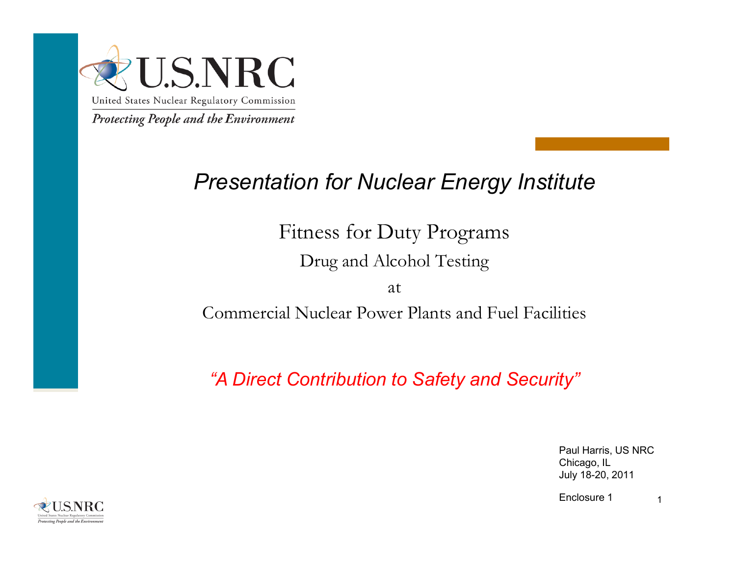

## *Presentation for Nuclear Energy Institute*

Fitness for Duty Programs

Drug and Alcohol Testing

at

Commercial Nuclear Power Plants and Fuel Facilities

*"A Direct Contribution to Safety and Security"*

Paul Harris, US NRC Chicago, IL July 18-20, 2011

1Enclosure 1

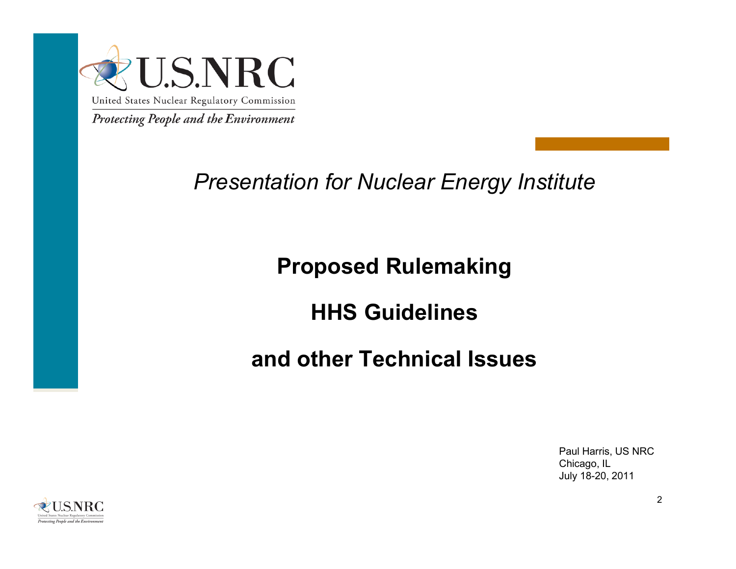

*Presentation for Nuclear Energy Institute*

## **Proposed Rulemaking**

## **HHS Guidelines**

## **and other Technical Issues**

Paul Harris, US NRC Chicago, IL July 18-20, 2011

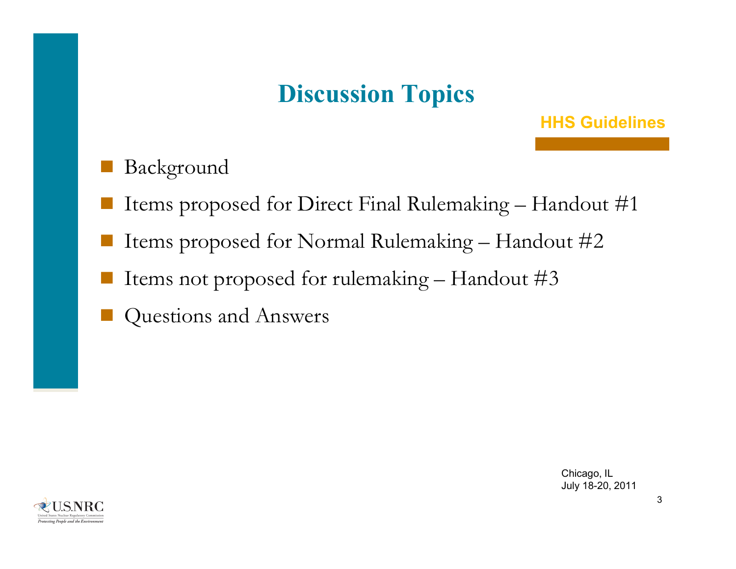# **Discussion Topics**

#### **HHS Guidelines**

- Background
- Items proposed for Direct Final Rulemaking Handout #1
- Items proposed for Normal Rulemaking Handout #2
- I Items not proposed for rulemaking Handout  $\#3$
- Questions and Answers

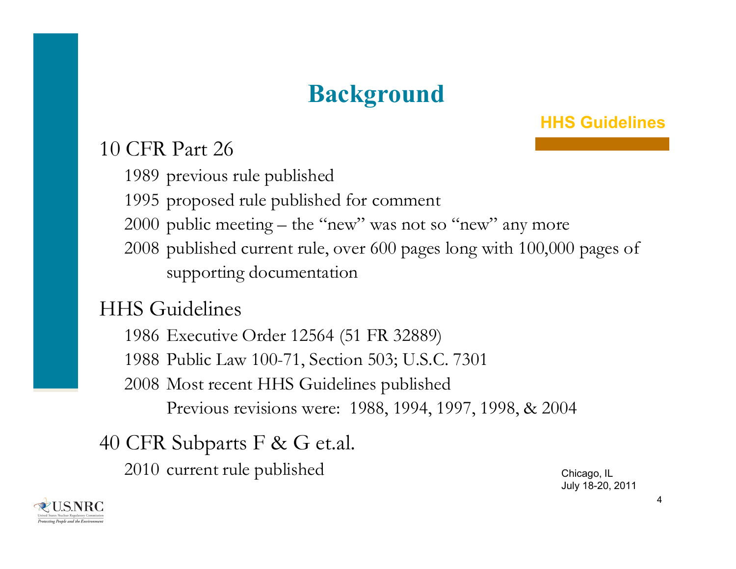# **Background**

#### **HHS Guidelines**

#### 10 CFR Part 26

1989 previous rule published

1995 proposed rule published for comment

2000 public meeting – the "new" was not so "new" any more

2008 published current rule, over 600 pages long with 100,000 pages of supporting documentation

#### HHS Guidelines

 Executive Order 12564 (51 FR 32889) Public Law 100-71, Section 503; U.S.C. 7301 Most recent HHS Guidelines published Previous revisions were: 1988, 1994, 1997, 1998, & 2004

### 40 CFR Subparts F & G et.al.

2010 current rule published Chicago, IL

July 18-20, 2011

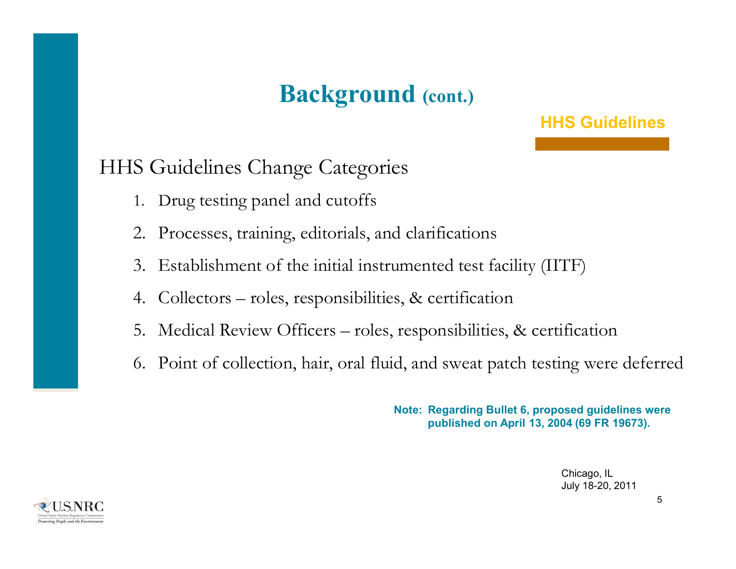# **Background (cont.)**

#### **HHS Guidelines**

#### HHS Guidelines Change Categories

- 1. Drug testing panel and cutoffs
- 2. Processes, training, editorials, and clarifications
- 3. Establishment of the initial instrumented test facility (IITF)
- 4. Collectors roles, responsibilities, & certification
- 5. Medical Review Officers roles, responsibilities, & certification
- 6. Point of collection, hair, oral fluid, and sweat patch testing were deferred

**Note: Regarding Bullet 6, proposed guidelines were published on April 13, 2004 (69 FR 19673).** 

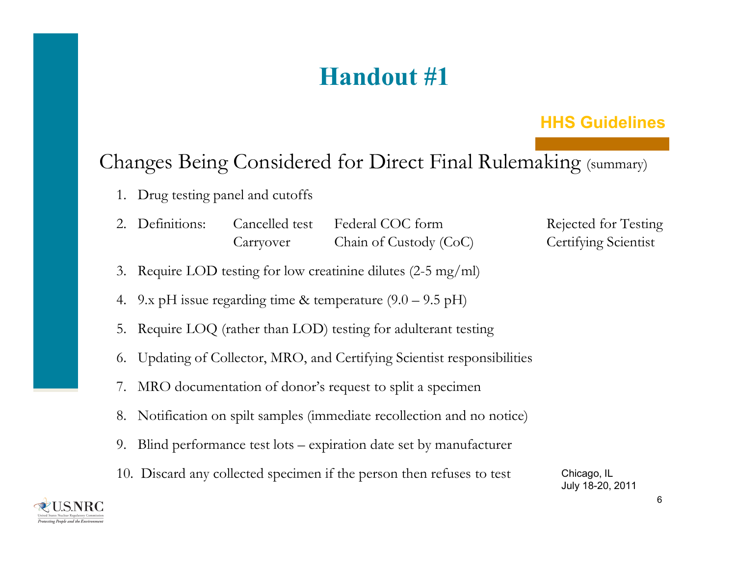# **Handout #1**

#### **HHS Guidelines**

#### Changes Being Considered for Direct Final Rulemaking (summary)

- 1. Drug testing panel and cutoffs
- 2. Definitions: Cancelled test Federal COC form Rejected for Testing Carryover Chain of Custody (CoC) Certifying Scientist
- 3. Require LOD testing for low creatinine dilutes (2-5 mg/ml)
- 4. 9.x pH issue regarding time & temperature  $(9.0 9.5 \text{ pH})$
- 5. Require LOQ (rather than LOD) testing for adulterant testing
- 6. Updating of Collector, MRO, and Certifying Scientist responsibilities
- 7. MRO documentation of donor's request to split a specimen
- 8. Notification on spilt samples (immediate recollection and no notice)
- 9. Blind performance test lots expiration date set by manufacturer
- 10. Discard any collected specimen if the person then refuses to test Chicago, IL July 18-20, 2011

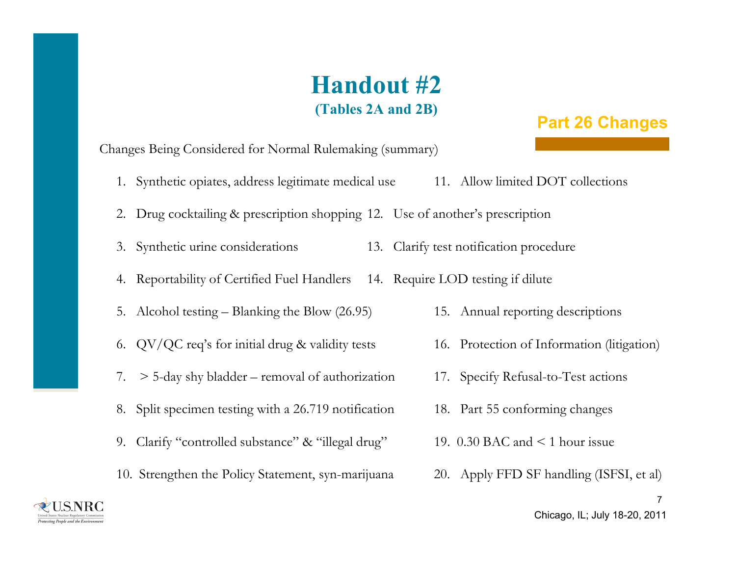### **Handout #2(Tables 2A and 2B)**

#### **Part 26 Changes**

Changes Being Considered for Normal Rulemaking (summary)

- 1. Synthetic opiates, address legitimate medical use 11. Allow limited DOT collections
- 2. Drug cocktailing & prescription shopping 12. Use of another's prescription
- 3. Synthetic urine considerations 13. Clarify test notification procedure
- 4. Reportability of Certified Fuel Handlers 14. Require LOD testing if dilute
- 5. Alcohol testing Blanking the Blow (26.95) 15. Annual reporting descriptions
- 6. QV/QC req's for initial drug & validity tests 16. Protection of Information (litigation)
- 7. > 5-day shy bladder removal of authorization 17. Specify Refusal-to-Test actions
- 8. Split specimen testing with a 26.719 notification 18. Part 55 conforming changes
- 9. Clarify "controlled substance" & "illegal drug" 19. 0.30 BAC and < 1 hour issue
- 10. Strengthen the Policy Statement, syn-marijuana 20. Apply FFD SF handling (ISFSI, et al)
- 
- 
- 
- 
- 
- 



7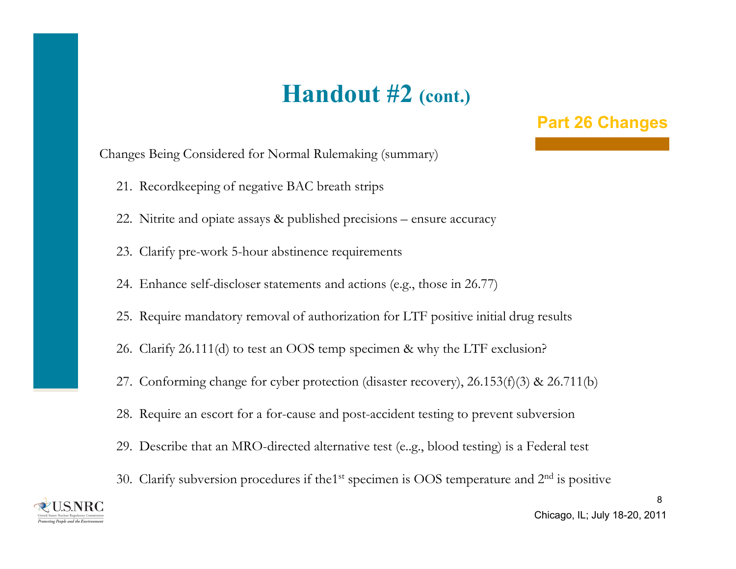## **Handout #2 (cont.)**

#### **Part 26 Changes**

Changes Being Considered for Normal Rulemaking (summary)

- 21. Recordkeeping of negative BAC breath strips
- 22. Nitrite and opiate assays & published precisions ensure accuracy
- 23. Clarify pre-work 5-hour abstinence requirements
- 24. Enhance self-discloser statements and actions (e.g., those in 26.77)
- 25. Require mandatory removal of authorization for LTF positive initial drug results
- 26. Clarify 26.111(d) to test an OOS temp specimen & why the LTF exclusion?
- 27. Conforming change for cyber protection (disaster recovery), 26.153(f)(3) & 26.711(b)
- 28. Require an escort for a for-cause and post-accident testing to prevent subversion
- 29. Describe that an MRO-directed alternative test (e..g., blood testing) is a Federal test
- 30. Clarify subversion procedures if the<sup>1st</sup> specimen is OOS temperature and 2<sup>nd</sup> is positive



Chicago, IL; July 18-20, 2011

8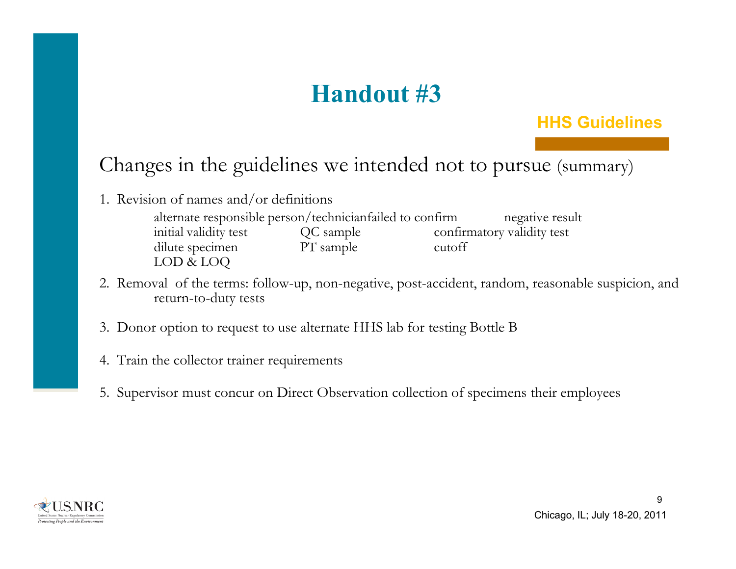# **Handout #3**

#### **HHS Guidelines**

### Changes in the guidelines we intended not to pursue (summary)

1. Revision of names and/or definitions

alternate responsible person/technicianfailed to confirm negative result initial validity test QC sample confirmatory validity test dilute specimen PT sample cutoff LOD & LOQ

- 2. Removal of the terms: follow-up, non-negative, post-accident, random, reasonable suspicion, and return-to-duty tests
- 3. Donor option to request to use alternate HHS lab for testing Bottle B
- 4. Train the collector trainer requirements
- 5. Supervisor must concur on Direct Observation collection of specimens their employees

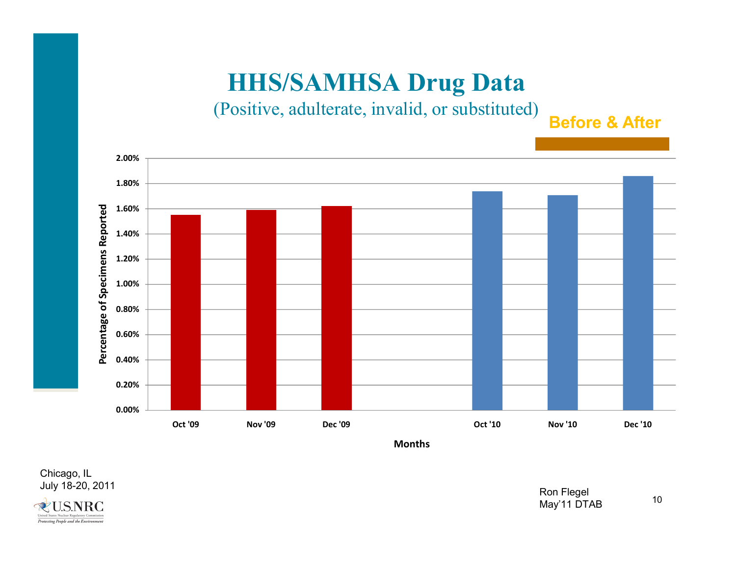(Positive, adulterate, invalid, or substituted)

**Before & After**



**Months**

Chicago, IL<br>July 18-20, 2011 July 18-20, 2011 Ron Flegel



May'11 DTAB

10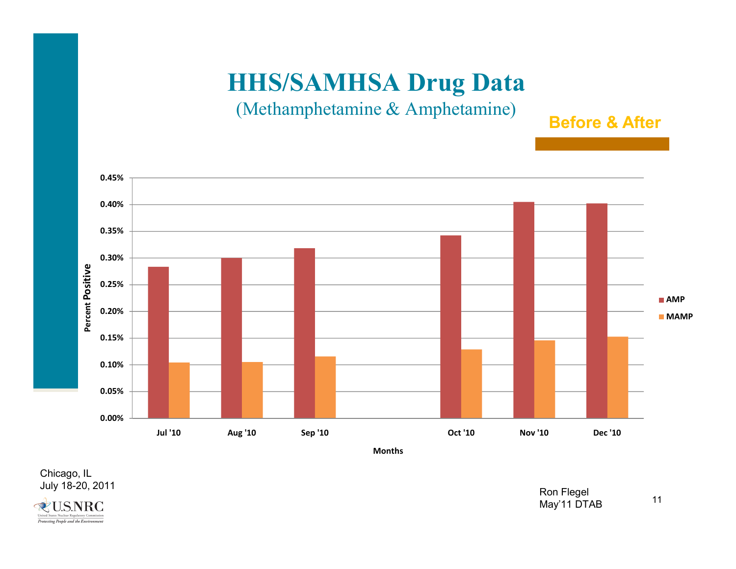#### (Methamphetamine & Amphetamine)

**Before & After**



**Months**

Chicago, IL<br>July 18-20, 2011 July 18-20, 2011 Ron Flegel



May'11 DTAB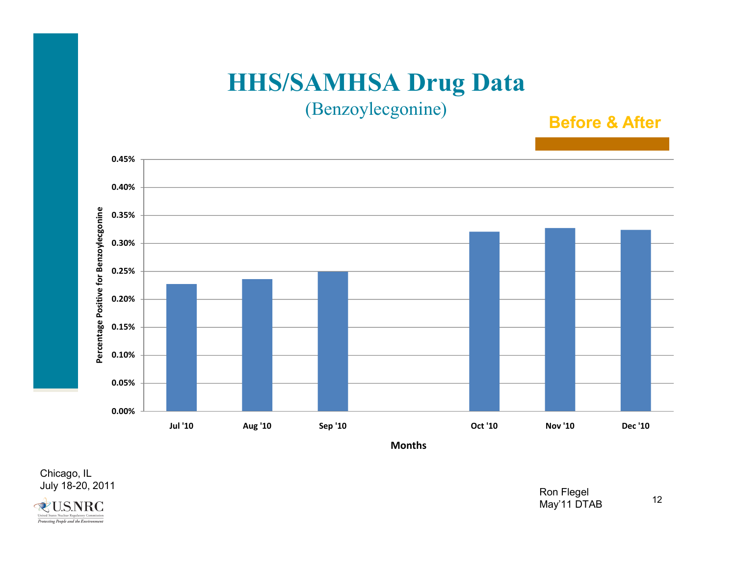(Benzoylecgonine)

**Before & After**



Chicago, IL<br>July 18-20, 2011 July 18-20, 2011 Ron Flegel



May'11 DTAB

12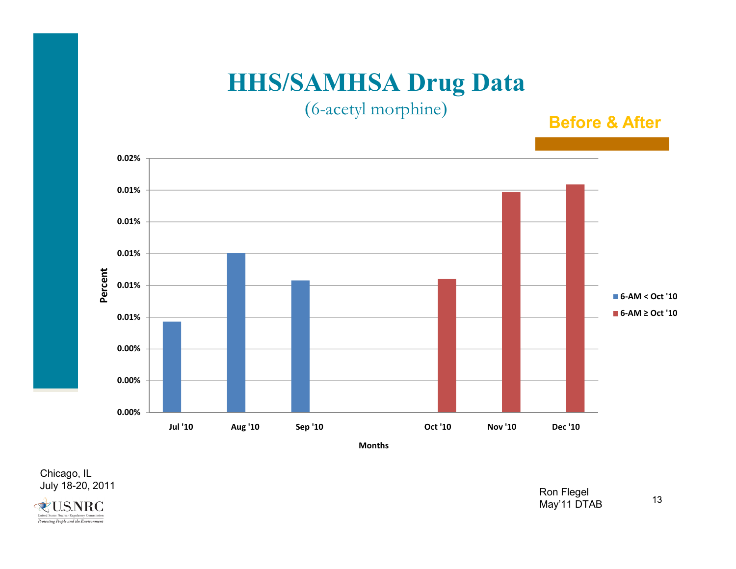(6-acetyl morphine )

**Before & After**



Chicago, IL<br>July 18-20, 2011 July 18-20, 2011 Ron Flegel

**QUENRC** United States Nuclear Regulatory Protecting People and the Environment

May'11 DTAB

13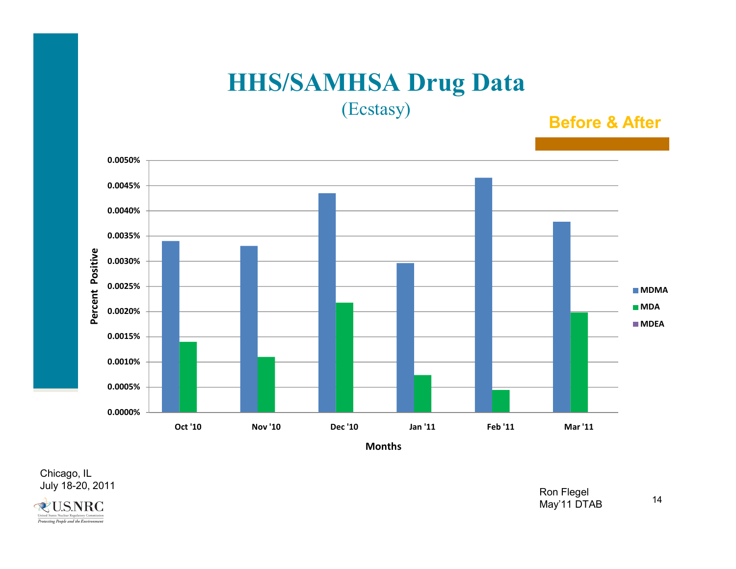(Ecstasy)

**Before & After**



Chicago, IL<br>July 18-20, 2011 July 18-20, 2011 Ron Flegel



May'11 DTAB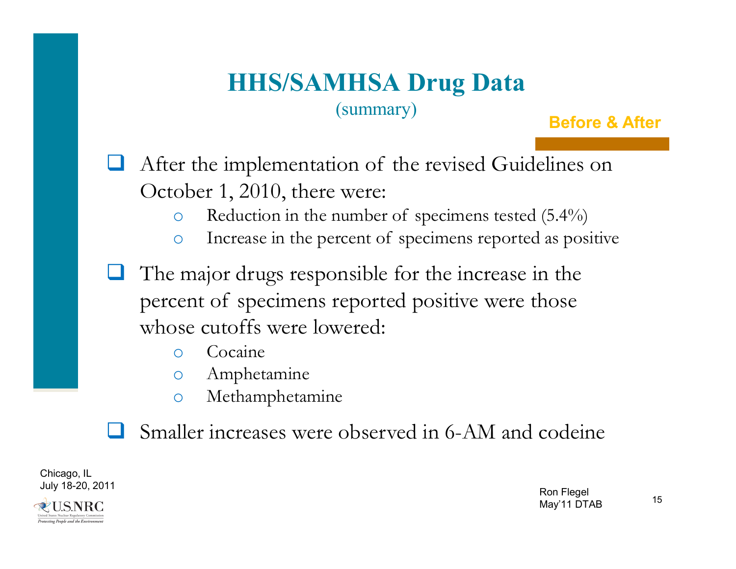### **HHS/SAMHSA Drug Data** (summary)

**Before & After**



 $\Box$ The major drugs responsible for the increase in the percent of specimens reported positive were those whose cutoffs were lowered:

- oCocaine
- oAmphetamine
- oMethamphetamine

 $\Box$ Smaller increases were observed in 6-AM and codeine

Chicago, IL July 18-20, 2011 Ron Flegel

ZUS.NRC rotecting People and the Environmen

May'11 DTAB

15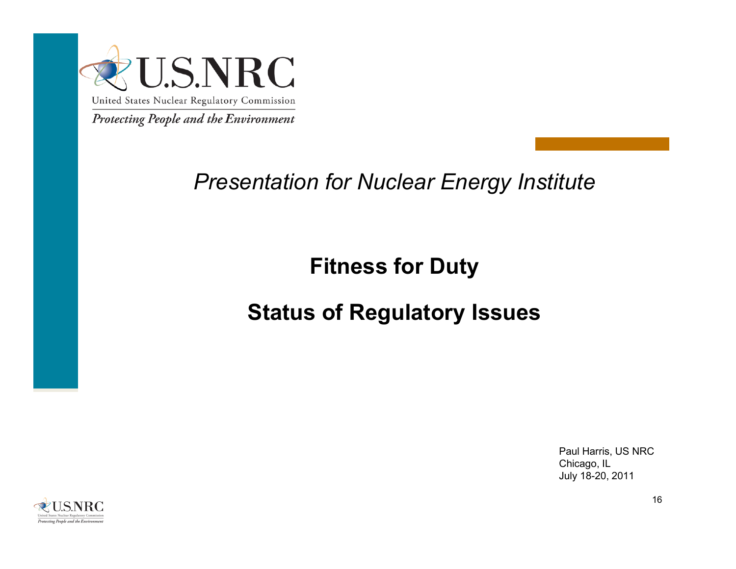

## *Presentation for Nuclear Energy Institute*

## **Fitness for Duty**

## **Status of Regulatory Issues**

Paul Harris, US NRC Chicago, IL July 18-20, 2011

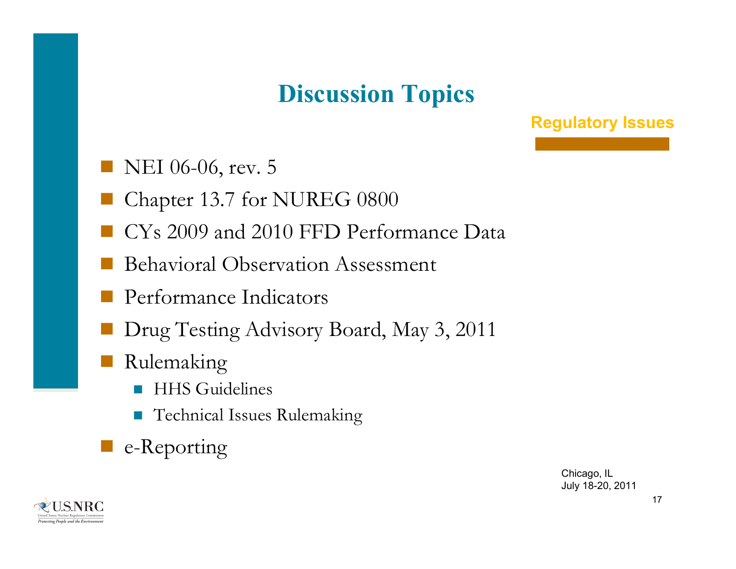# **Discussion Topics**

#### **Regulatory Issues**

- NEI 06-06, rev. 5
- Chapter 13.7 for NUREG 0800
- CYs 2009 and 2010 FFD Performance Data
- Behavioral Observation Assessment
- Performance Indicators
- Drug Testing Advisory Board, May 3, 2011
- Rulemaking
	- F) HHS Guidelines
	- $\mathbb{R}^n$ Technical Issues Rulemaking
- e-Reporting

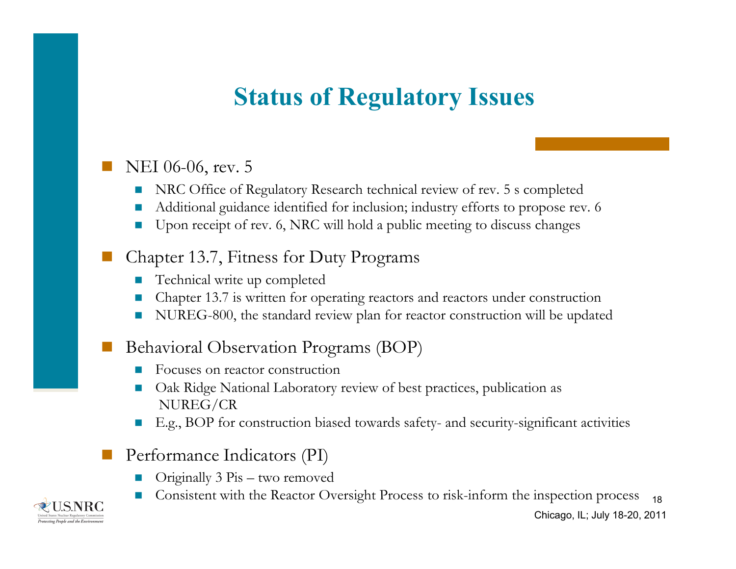# **Status of Regulatory Issues**

#### T. NEI 06-06, rev. 5

- П NRC Office of Regulatory Research technical review of rev. 5 s completed
- П Additional guidance identified for inclusion; industry efforts to propose rev. 6
- $\mathcal{C}^{\mathcal{A}}$ Upon receipt of rev. 6, NRC will hold a public meeting to discuss changes

#### $\overline{\phantom{a}}$ Chapter 13.7, Fitness for Duty Programs

- П  $\blacksquare$  Technical write up completed
- Chapter 13.7 is written for operating reactors and reactors under construction
- П NUREG-800, the standard review plan for reactor construction will be updated

#### $\overline{\phantom{a}}$ Behavioral Observation Programs (BOP)

- Focuses on reactor construction
- П Oak Ridge National Laboratory review of best practices, publication as NUREG/CR
- $\mathcal{A}$ E.g., BOP for construction biased towards safety- and security-significant activities

#### $\overline{\phantom{a}}$ Performance Indicators (PI)

- П Originally 3 Pis – two removed
- Consistent with the Reactor Oversight Process to risk-inform the inspection process 18

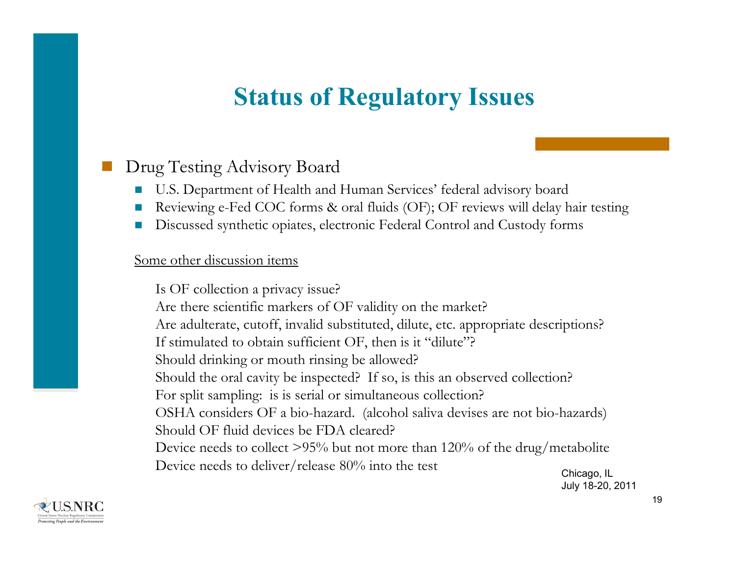# **Status of Regulatory Issues**

#### T. Drug Testing Advisory Board

- П U.S. Department of Health and Human Services' federal advisory board
- П Reviewing e-Fed COC forms & oral fluids (OF); OF reviews will delay hair testing
- Discussed synthetic opiates, electronic Federal Control and Custody forms

#### Some other discussion items

Is OF collection a privacy issue? Are there scientific markers of OF validity on the market? Are adulterate, cutoff, invalid substituted, dilute, etc. appropriate descriptions? If stimulated to obtain sufficient OF, then is it "dilute"? Should drinking or mouth rinsing be allowed? Should the oral cavity be inspected? If so, is this an observed collection? For split sampling: is is serial or simultaneous collection? OSHA considers OF a bio-hazard. (alcohol saliva devises are not bio-hazards) Should OF fluid devices be FDA cleared?Device needs to collect >95% but not more than 120% of the drug/metabolite Device needs to deliver/release 80% into the test

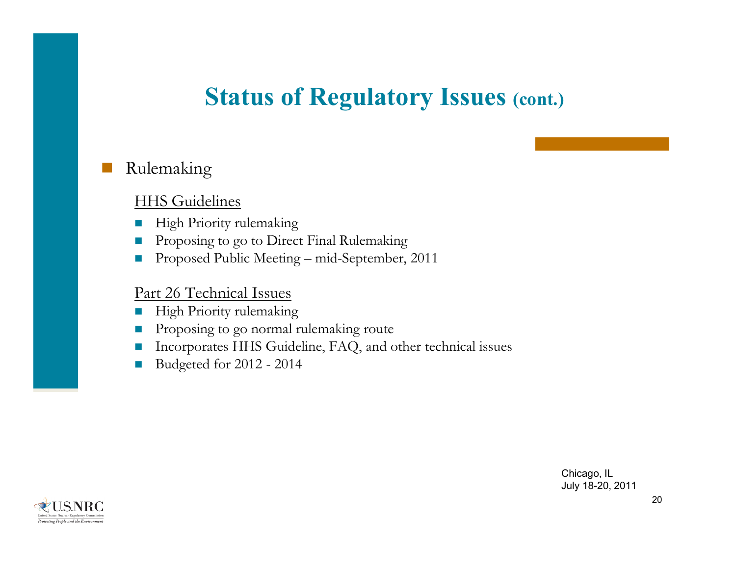## **Status of Regulatory Issues (cont.)**

#### $\overline{\phantom{a}}$ Rulemaking

#### HHS Guidelines

- П High Priority rulemaking
- П Proposing to go to Direct Final Rulemaking
- $\mathcal{L}_{\mathcal{A}}$ Proposed Public Meeting – mid-September, 2011

#### Part 26 Technical Issues

- $\mathcal{L}_{\mathcal{A}}$ High Priority rulemaking
- П Proposing to go normal rulemaking route
- П Incorporates HHS Guideline, FAQ, and other technical issues
- $\mathcal{C}^{\mathcal{A}}$ Budgeted for 2012 - 2014

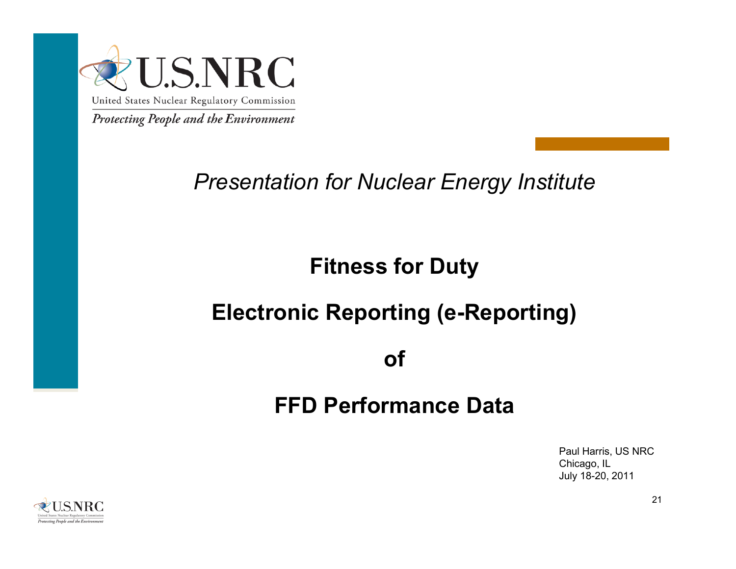

## *Presentation for Nuclear Energy Institute*

## **Fitness for Duty**

## **Electronic Reporting (e-Reporting)**

**of**

### **FFD Performance Data**

Paul Harris, US NRC Chicago, IL July 18-20, 2011

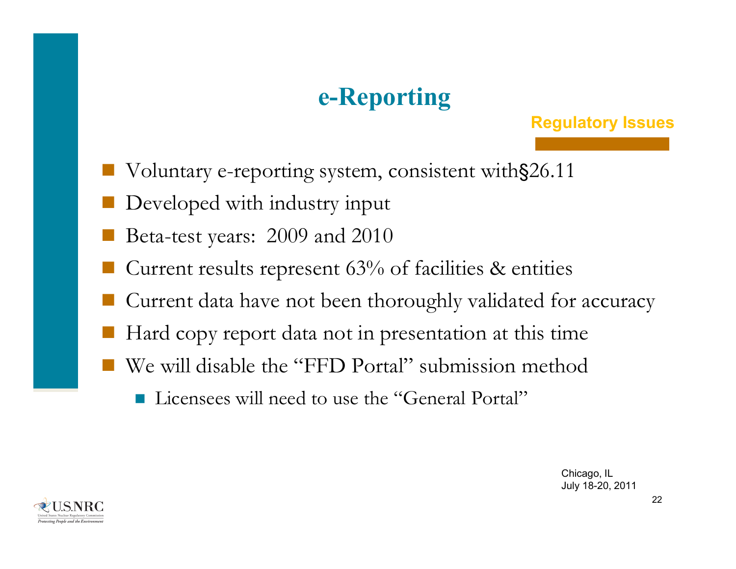# **e-Reporting**

#### **Regulatory Issues**

- Voluntary e-reporting system, consistent with§26.11
- Developed with industry input
- Beta-test years: 2009 and 2010
- Current results represent 63% of facilities & entities
- Current data have not been thoroughly validated for accuracy
- Hard copy report data not in presentation at this time
- We will disable the "FFD Portal" submission method
	- Licensees will need to use the "General Portal"

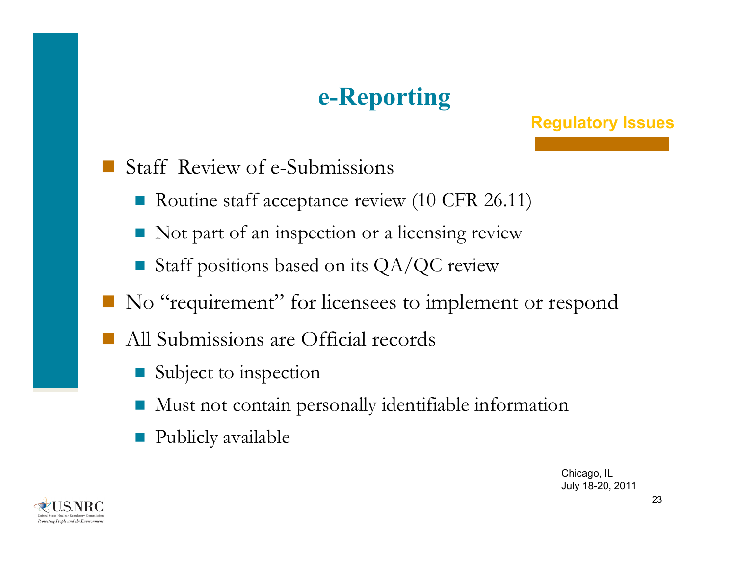# **e-Reporting**

#### **Regulatory Issues**

- Staff Review of e-Submissions
	- Routine staff acceptance review (10 CFR 26.11)
	- Not part of an inspection or a licensing review
	- F Staff positions based on its QA/QC review
- No "requirement" for licensees to implement or respond
- All Submissions are Official records
	- F Subject to inspection
	- F Must not contain personally identifiable information
	- F Publicly available

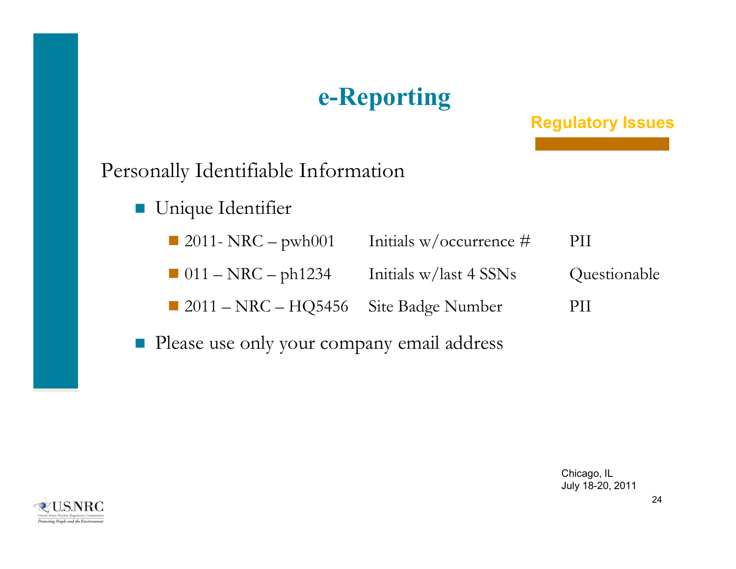# **e-Reporting**

#### **Regulatory Issues**

#### Personally Identifiable Information

- **Unique Identifier** 
	- 12011- NRC pwh001 Initials w/occurrence # PII
	- 011 NRC ph1234 Initials w/last 4 SSNs Questionable
	- 2011 NRC HQ5456 Site Badge Number PII
- **Please use only your company email address**



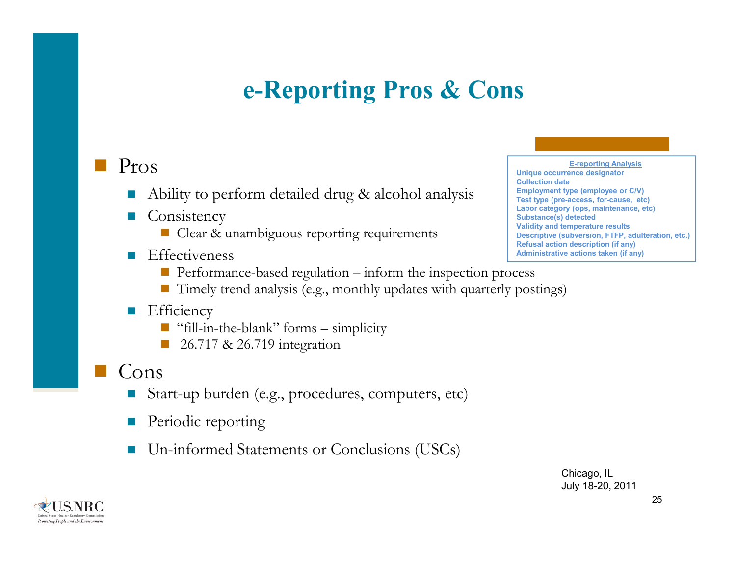# **e-Reporting Pros & Cons**

#### Pros

- F Ability to perform detailed drug & alcohol analysis
- $\mathcal{L}^{\mathcal{A}}$ **Consistency** 
	- Clear & unambiguous reporting requirements
- F **Effectiveness** 
	- $\blacksquare$  Performance-based regulation  $-$  inform the inspection process
	- $\blacksquare$  Timely trend analysis (e.g., monthly updates with quarterly postings)

#### $\Box$ **Efficiency**

- "fill-in-the-blank" forms simplicity
- h. 26.717 & 26.719 integration

#### Cons

- $\mathcal{L}_{\mathcal{A}}$ Start-up burden (e.g., procedures, computers, etc)
- $\mathcal{L}_{\mathcal{A}}$ Periodic reporting
- F Un-informed Statements or Conclusions (USCs)

**E-reporting Analysis Unique occurrence designator Collection dateEmployment type (employee or C/V) Test type (pre-access, for-cause, etc) Labor category (ops, maintenance, etc) Substance(s) detected Validity and temperature results Descriptive (subversion, FTFP, adulteration, etc.) Refusal action description (if any) Administrative actions taken (if any)**

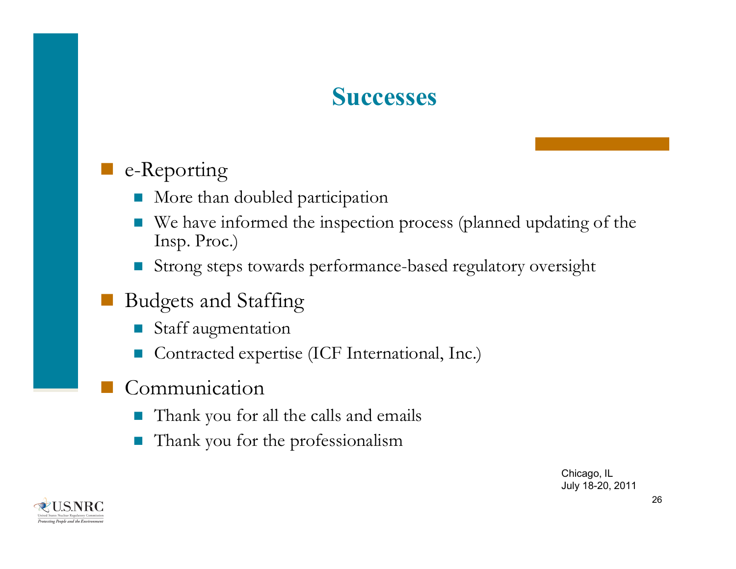## **Successes**

### e-Reporting

- E More than doubled participation
- E We have informed the inspection process (planned updating of the Insp. Proc.)
- Strong steps towards performance-based regulatory oversight
- Budgets and Staffing
	- E Staff augmentation
	- E Contracted expertise (ICF International, Inc.)
- Communication
	- T Thank you for all the calls and emails
	- T Thank you for the professionalism

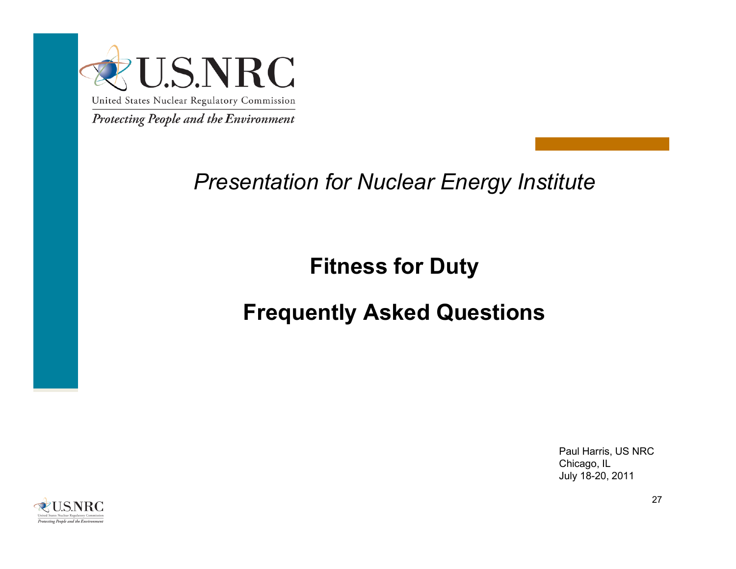

## *Presentation for Nuclear Energy Institute*

## **Fitness for Duty**

## **Frequently Asked Questions**

Paul Harris, US NRC Chicago, IL July 18-20, 2011

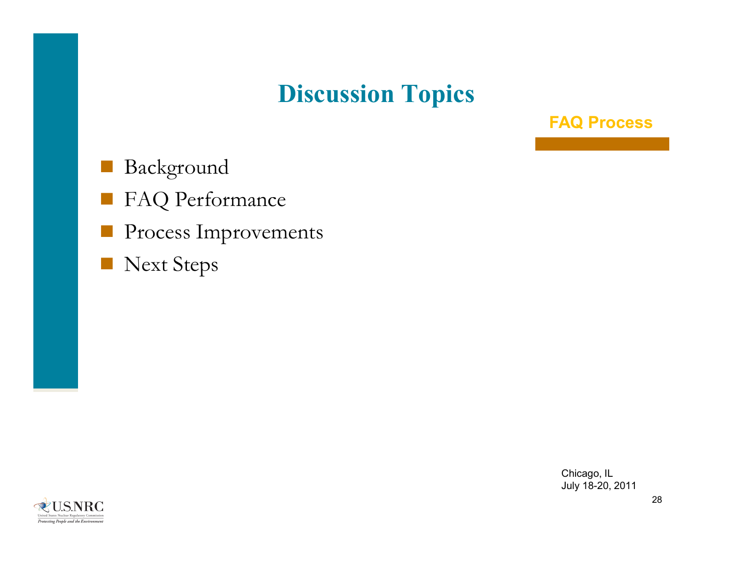# **Discussion Topics**

**FAQ Process**

- Background
- FAQ Performance
- Process Improvements
- Next Steps

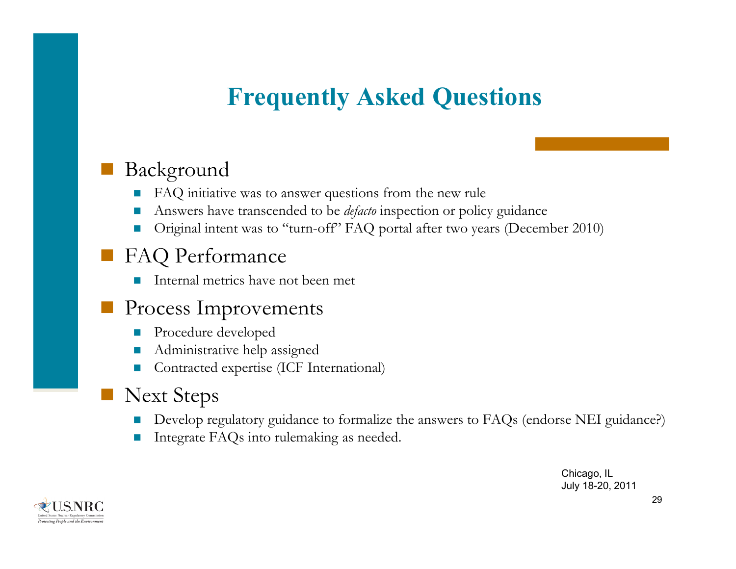# **Frequently Asked Questions**

### Background

- H FAQ initiative was to answer questions from the new rule
- F. Answers have transcended to be *defacto* inspection or policy guidance
- u Original intent was to "turn-off" FAQ portal after two years (December 2010)

#### FAQ Performance

 $\sim$ Internal metrics have not been met

#### **Process Improvements**

- $\mathbb{R}^3$ Procedure developed
- F. Administrative help assigned
- u Contracted expertise (ICF International)

#### Next Steps

- F. Develop regulatory guidance to formalize the answers to FAQs (endorse NEI guidance?)
- u Integrate FAQs into rulemaking as needed.

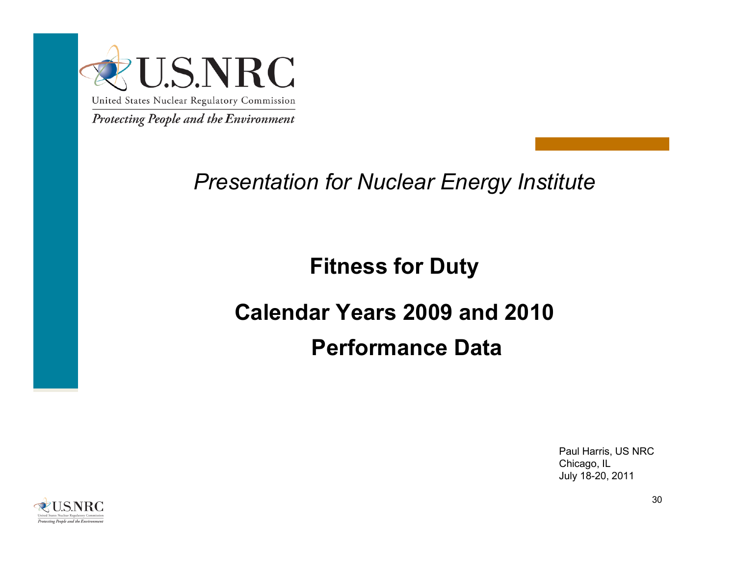

## *Presentation for Nuclear Energy Institute*

## **Fitness for Duty**

# **Calendar Years 2009 and 2010 Performance Data**

Paul Harris, US NRC Chicago, IL July 18-20, 2011

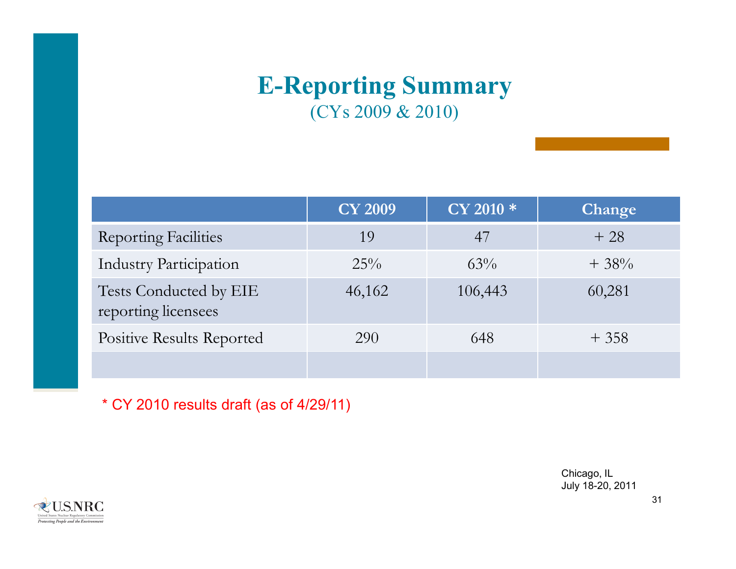## **E-Reporting Summary** (CYs 2009 & 2010)

|                                               | <b>CY 2009</b> | CY 2010 * | Change |
|-----------------------------------------------|----------------|-----------|--------|
| <b>Reporting Facilities</b>                   | 19             | 47        | $+28$  |
| <b>Industry Participation</b>                 | $25\%$         | $63\%$    | $+38%$ |
| Tests Conducted by EIE<br>reporting licensees | 46,162         | 106,443   | 60,281 |
| <b>Positive Results Reported</b>              | 290            | 648       | $+358$ |
|                                               |                |           |        |

\* CY 2010 results draft (as of 4/29/11)

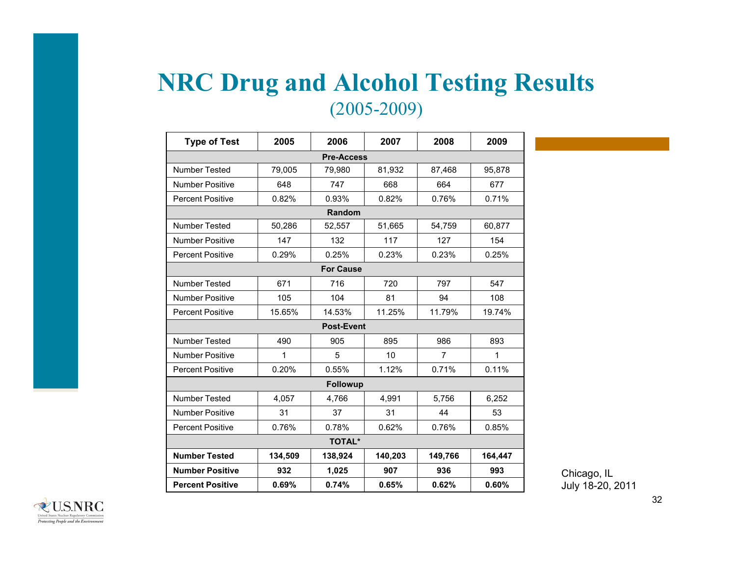## **NRC Drug and Alcohol Testing Results** (2005-2009)

| <b>Type of Test</b>                                             | 2005    | 2006              | 2007    | 2008           | 2009         |  |  |  |  |
|-----------------------------------------------------------------|---------|-------------------|---------|----------------|--------------|--|--|--|--|
|                                                                 |         | <b>Pre-Access</b> |         |                |              |  |  |  |  |
| <b>Number Tested</b>                                            | 79,005  | 79,980            | 81,932  | 87,468         | 95,878       |  |  |  |  |
| <b>Number Positive</b>                                          | 648     | 747               | 668     | 664            | 677          |  |  |  |  |
| <b>Percent Positive</b>                                         | 0.82%   | 0.93%             | 0.82%   | 0.76%          | 0.71%        |  |  |  |  |
|                                                                 | Random  |                   |         |                |              |  |  |  |  |
| Number Tested<br>50,286<br>52,557<br>51,665<br>54,759<br>60,877 |         |                   |         |                |              |  |  |  |  |
| <b>Number Positive</b>                                          | 147     | 132               | 117     | 127            | 154          |  |  |  |  |
| <b>Percent Positive</b>                                         | 0.29%   | 0.25%             | 0.23%   | 0.23%          | 0.25%        |  |  |  |  |
|                                                                 |         | <b>For Cause</b>  |         |                |              |  |  |  |  |
| <b>Number Tested</b>                                            | 671     | 716               | 720     | 797            | 547          |  |  |  |  |
| <b>Number Positive</b>                                          | 105     | 104               | 81      | 94             | 108          |  |  |  |  |
| <b>Percent Positive</b>                                         | 15.65%  | 14.53%            | 11.25%  | 11.79%         | 19.74%       |  |  |  |  |
|                                                                 |         | <b>Post-Event</b> |         |                |              |  |  |  |  |
| <b>Number Tested</b>                                            | 490     | 905               | 895     | 986            | 893          |  |  |  |  |
| <b>Number Positive</b>                                          | 1       | 5                 | 10      | $\overline{7}$ | $\mathbf{1}$ |  |  |  |  |
| <b>Percent Positive</b>                                         | 0.20%   | 0.55%             | 1.12%   | 0.71%          | 0.11%        |  |  |  |  |
|                                                                 |         | <b>Followup</b>   |         |                |              |  |  |  |  |
| Number Tested                                                   | 4,057   | 4,766             | 4,991   | 5,756          | 6,252        |  |  |  |  |
| <b>Number Positive</b>                                          | 31      | 37                | 31      | 44             | 53           |  |  |  |  |
| <b>Percent Positive</b>                                         | 0.76%   | 0.78%             | 0.62%   | 0.76%          | 0.85%        |  |  |  |  |
|                                                                 |         | <b>TOTAL*</b>     |         |                |              |  |  |  |  |
| <b>Number Tested</b>                                            | 134,509 | 138,924           | 140,203 | 149,766        | 164,447      |  |  |  |  |
| <b>Number Positive</b>                                          | 932     | 1,025             | 907     | 936            | 993          |  |  |  |  |
| <b>Percent Positive</b>                                         | 0.69%   | 0.74%             | 0.65%   | 0.62%          | 0.60%        |  |  |  |  |

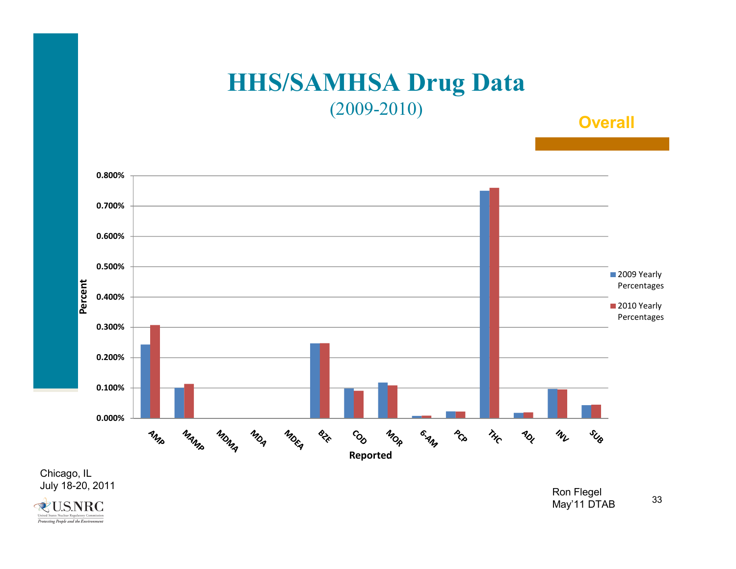### **HHS/SAMHSA Drug Data** (2009-2010)

#### **Overall**



Chicago, IL<br>July 18-20, 2011

**&U.S.NRC** United States Nuclear Regula Protecting People and the Environment

33July 18-20, 2011 Ron Flegel May'11 DTAB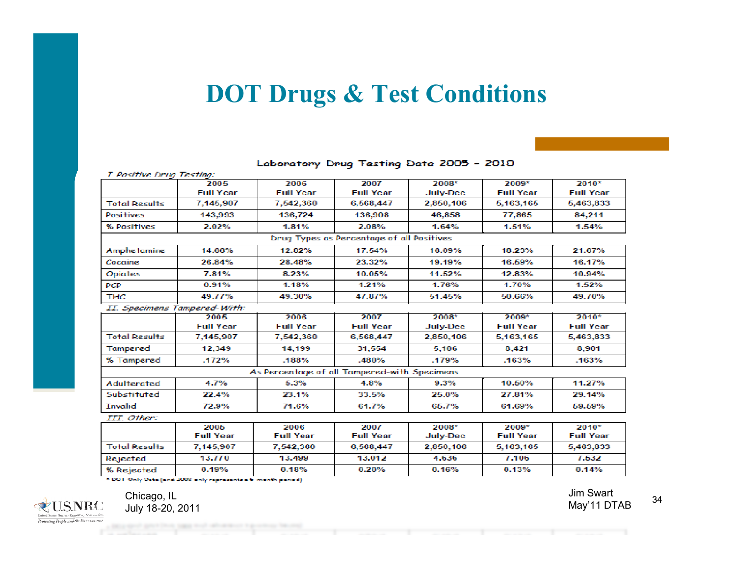## **DOT Drugs & Test Conditions**

| <b>I. Positive Drug Testing:</b> |                              |                                              |                                           |                 |                  |                  |
|----------------------------------|------------------------------|----------------------------------------------|-------------------------------------------|-----------------|------------------|------------------|
|                                  | 2005                         | 2006                                         | 2007                                      | 2008*           | 2009*            | 2010*            |
|                                  | <b>Full Year</b>             | <b>Full Year</b>                             | <b>Full Year</b>                          | <b>July-Dec</b> | <b>Full Year</b> | <b>Full Year</b> |
| <b>Total Results</b>             | 7,145,907                    | 7,542,360                                    | 6,568,447                                 | 2.850,106       | 5,163,165        | 5,463,833        |
| <b>Positives</b>                 | 143,993                      | 136,724                                      | 136,908                                   | 46,858          | 77,865           | 84,211           |
| % Positives                      | 2.02%                        | 1.81%                                        | 2.08%                                     | 1.64%           | 1.51%            | 1.54%            |
|                                  |                              |                                              | Drug Types as Percentage of all Positives |                 |                  |                  |
| Amphetamine                      | 14.66%                       | 12.82%                                       | 17.54%                                    | 16.09%          | 18.23%           | 21.67%           |
| Cocaine                          | 26.84%                       | 28.48%                                       | 23.32%                                    | 19.19%          | 16.59%           | 16.17%           |
| <b>Opiates</b>                   | 7.81%                        | 8.23%                                        | 10.05%                                    | 11.52%          | 12.83%           | 10.94%           |
| PCP                              | 0.91%                        | 1.18%                                        | 1.21%                                     | 1.76%           | 1.70%            | 1.52%            |
| <b>THC</b>                       | 49.77%                       | 49.30%                                       | 47.87%                                    | 51.45%          | 50.66%           | 49.70%           |
|                                  | II. Specimens Tampered-With: |                                              |                                           |                 |                  |                  |
|                                  | 2005                         | 2006                                         | 2007                                      | 2008*           | 2009*            | 2010*            |
|                                  | <b>Full Year</b>             | <b>Full Year</b>                             | <b>Full Year</b>                          | <b>July-Dec</b> | <b>Full Year</b> | <b>Full Year</b> |
| <b>Total Results</b>             | 7.145.907                    | 7,542,360                                    | 6,568,447                                 | 2.850.106       | 5,163,165        | 5,463,833        |
| Tampered                         | 12.349                       | 14.199                                       | 31.554                                    | 5.106           | 8.421            | 8.901            |
| % Tampered                       | .172%                        | .188%                                        | .480%                                     | .179%           | .163%            | .163%            |
|                                  |                              | As Percentage of all Tampered-with Specimens |                                           |                 |                  |                  |
| <b>Adulterated</b>               | 4.7%                         | 5.3%                                         | 4.8%                                      | 9.3%            | 10.50%           | 11.27%           |
| Substituted                      | 22.4%                        | 23.1%                                        | 33.5%                                     | 25.0%           | 27.81%           | 29.14%           |
| <b>Invalid</b>                   | 72.9%                        | 71.6%                                        | 61.7%                                     | 65.7%           | 61.69%           | 59.59%           |
| III. Other:                      |                              |                                              |                                           |                 |                  |                  |
|                                  | 2005                         | 2006                                         | 2007                                      | 2008*           | 2009*            | 2010*            |
|                                  | <b>Full Year</b>             | <b>Full Year</b>                             | <b>Full Year</b>                          | <b>July-Dec</b> | <b>Full Year</b> | <b>Full Year</b> |
| <b>Total Results</b>             | 7,145,907                    | 7,542,360                                    | 6,568,447                                 | 2,850,106       | 5,163,165        | 5,463,833        |
| Rejected                         | 13,770                       | 13,499                                       | 13,012                                    | 4.636           | 7,106            | 7,532            |
| % Rejected                       | 0.19%                        | 0.18%                                        | 0.20%                                     | 0.16%           | 0.13%            | 0.14%            |
|                                  |                              |                                              |                                           |                 |                  |                  |

#### Laboratory Drug Testing Data 2005 - 2010

\* DOT-Only Data (and 2008 only represents a 6-month period)



Jim Swart May'11 DTAB Chicago, IL July 18-20, 2011

34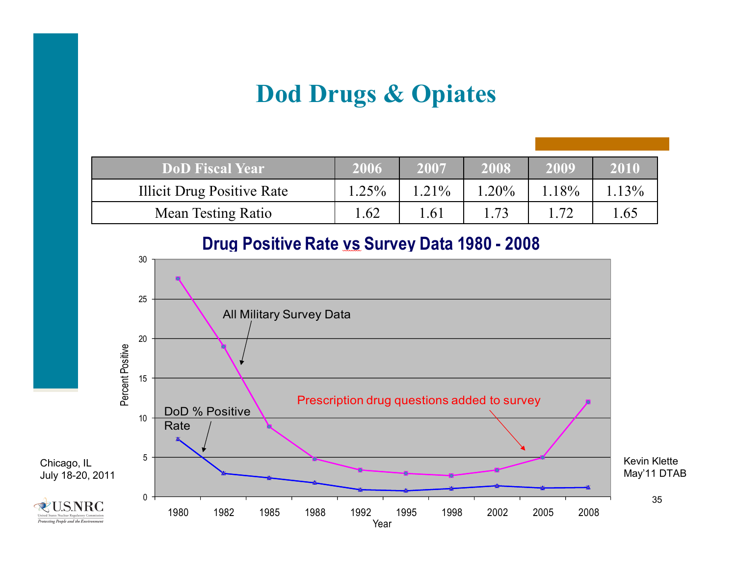# **Dod Drugs & Opiates**

| <b>DoD</b> Fiscal Year            | 2006  | 2007     | 2008  | 2009 | 2010 |
|-----------------------------------|-------|----------|-------|------|------|
| <b>Illicit Drug Positive Rate</b> | 1.25% | $1.21\%$ | 1.20% | 18%  | 13%  |
| <b>Mean Testing Ratio</b>         | 1.62  | .61      | 73    | .72  | l.65 |

#### **Drug Positive Rate vs Survey Data 1980 - 2008**

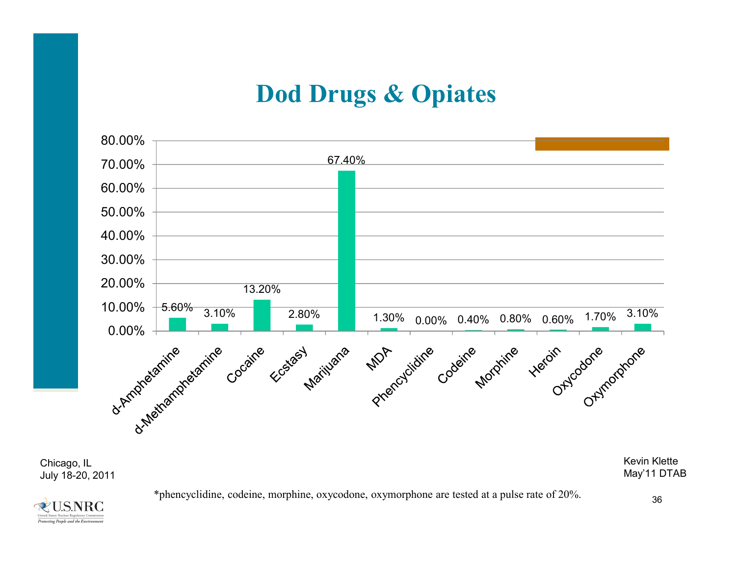## **Dod Drugs & Opiates**



\*phencyclidine, codeine, morphine, oxycodone, oxymorphone are tested at <sup>a</sup> pulse rate of 20%.



36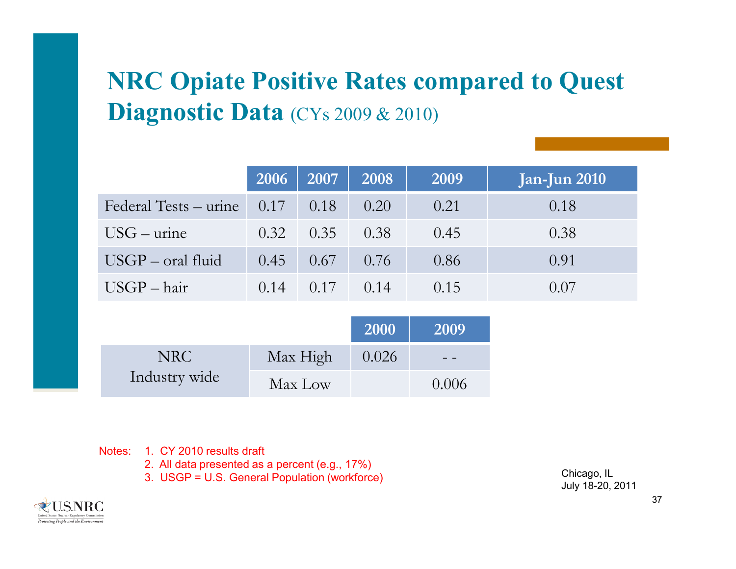# **NRC Opiate Positive Rates compared to Quest Diagnostic Data** (CYs 2009 & 2010)

|                                       |      | 2006 2007 | 2008   | 2009 | Jan-Jun 2010 |
|---------------------------------------|------|-----------|--------|------|--------------|
| Federal Tests – urine $0.17 \pm 0.18$ |      |           | 0.20   | 0.21 | 0.18         |
| $USG$ – urine                         | 0.32 | 0.35      | 0.38   | 0.45 | 0.38         |
| $USGP - oral fluid$                   | 0.45 | 0.67      | 0.76   | 0.86 | 0.91         |
| $USGP - hair$                         | 0.14 | 0.17      | (0.14) | 0.15 | (0.07)       |

|               |          | 2000  | 2009  |
|---------------|----------|-------|-------|
| NRC.          | Max High | 0.026 |       |
| Industry wide | Max Low  |       | 0.006 |

Notes: 1. CY 2010 results draft

2. All data presented as a percent (e.g., 17%)

3. USGP = U.S. General Population (workforce)

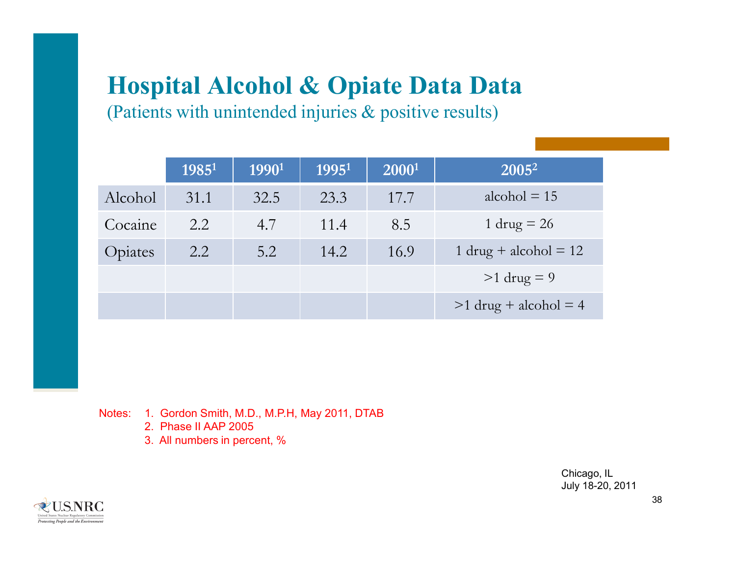# **Hospital Alcohol & Opiate Data Data**

(Patients with unintended injuries & positive results)

|         | $1985^1$ | 1990 <sup>1</sup> | 1995 <sup>1</sup> | $2000^1$ | $\overline{ 2005^2 }$     |
|---------|----------|-------------------|-------------------|----------|---------------------------|
| Alcohol | 31.1     | 32.5              | 23.3              | 17.7     | alcohol $= 15$            |
| Cocaine | 2.2      | 4.7               | 11.4              | 8.5      | 1 drug $= 26$             |
| Opiates | 2.2      | 5.2               | 14.2              | 16.9     | $1$ drug + alcohol = $12$ |
|         |          |                   |                   |          | $>1$ drug = 9             |
|         |          |                   |                   |          | $>1$ drug + alcohol = 4   |

Notes: 1. Gordon Smith, M.D., M.P.H, May 2011, DTAB

- 2. Phase II AAP 2005
- 3. All numbers in percent, %

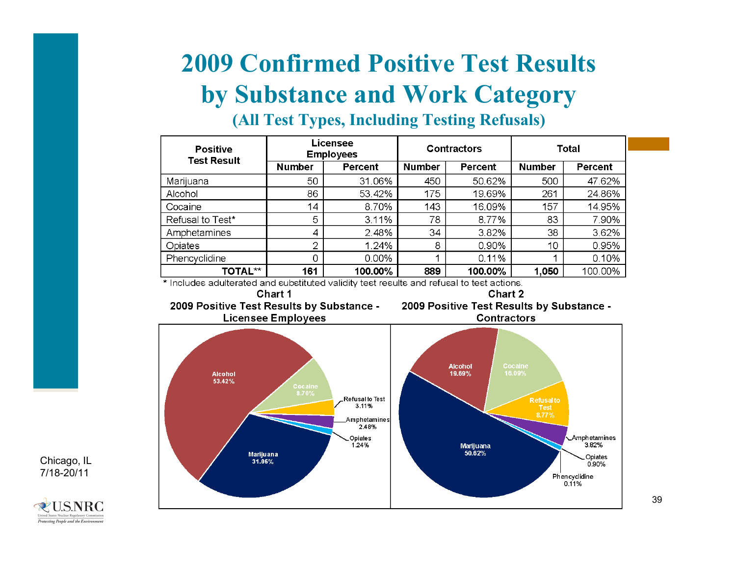# **2009 Confirmed Positive Test Results by Substance and Work Category**

| Licensee<br><b>Positive</b><br><b>Employees</b> |               | <b>Contractors</b> |                          | <b>Total</b> |               |         |
|-------------------------------------------------|---------------|--------------------|--------------------------|--------------|---------------|---------|
| <b>Test Result</b>                              | <b>Number</b> | Percent            | <b>Number</b><br>Percent |              | <b>Number</b> | Percent |
| Marijuana                                       | 50            | 31.06%             | 450                      | 50.62%       | 500           | 47.62%  |
| Alcohol                                         | 86            | 53.42%             | 175                      | 19.69%       | 261           | 24.86%  |
| Cocaine                                         | 14            | 8.70%              | 143                      | 16.09%       | 157           | 14.95%  |
| Refusal to Test*                                | 5             | 3.11%              | 78.                      | 8.77%        | 83            | 7.90%   |
| Amphetamines                                    | 4             | 2.48%              | 34                       | 3.82%        | 38            | 3.62%   |
| Opiates                                         | ⌒             | 1.24%              | 8                        | 0.90%        | 10            | 0.95%   |
| Phencyclidine                                   | 0             | 0.00%              |                          | 0.11%        |               | 0.10%   |
| <b>TOTAL**</b>                                  | 161           | 100.00%            | 889                      | 100.00%      | 1,050         | 100.00% |

#### **(All Test Types, Including Testing Refusals)**

\* Includes adulterated and substituted validity test results and refusal to test actions.



Chart 1





Chicago, IL 7/18-20/11

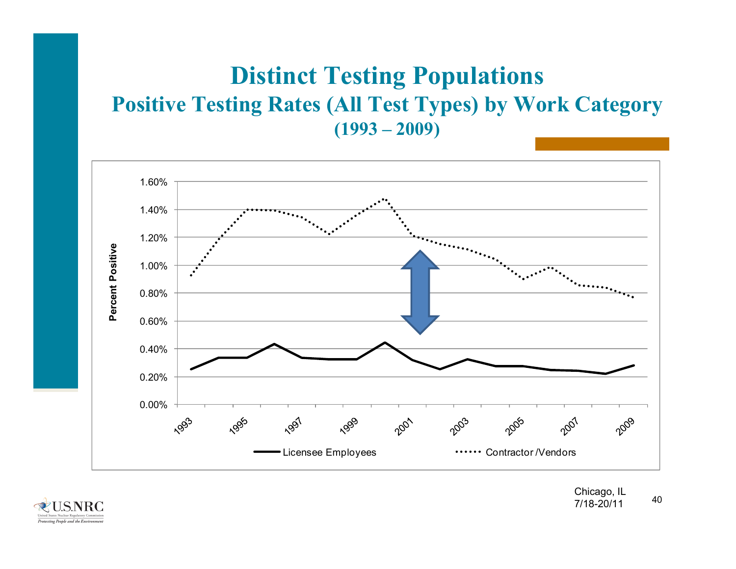## **Distinct Testing Populations Positive Testing Rates (All Test Types) by Work Category (1993 – 2009)**



**U.S.NRC** Protecting People and the Environn

40Chicago, IL 7/18-20/11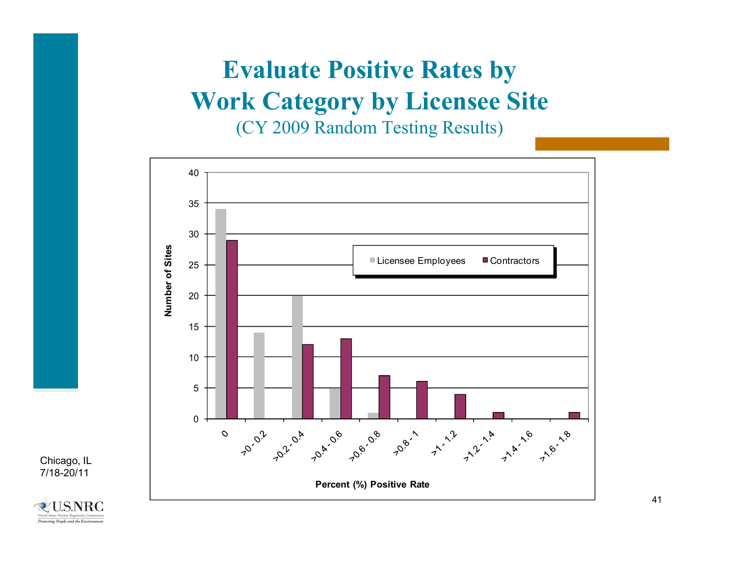# **Evaluate Positive Rates by Work Category by Licensee Site**

(CY 2009 Random Testing Results)



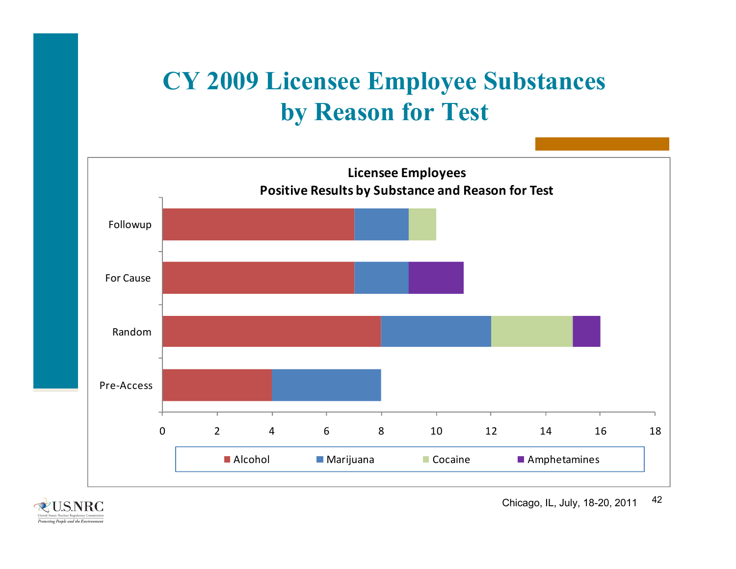# **CY 2009 Licensee Employee Substances by Reason for Test**



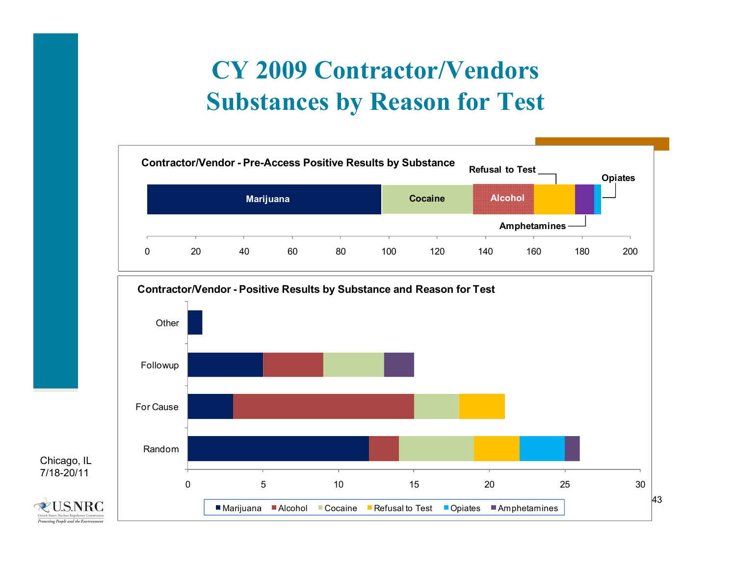# **CY 2009 Contractor/Vendors Substances by Reason for Test**



**U.S.NRC** Protecting People and the Environmen

Chicago, IL 7/18-20/11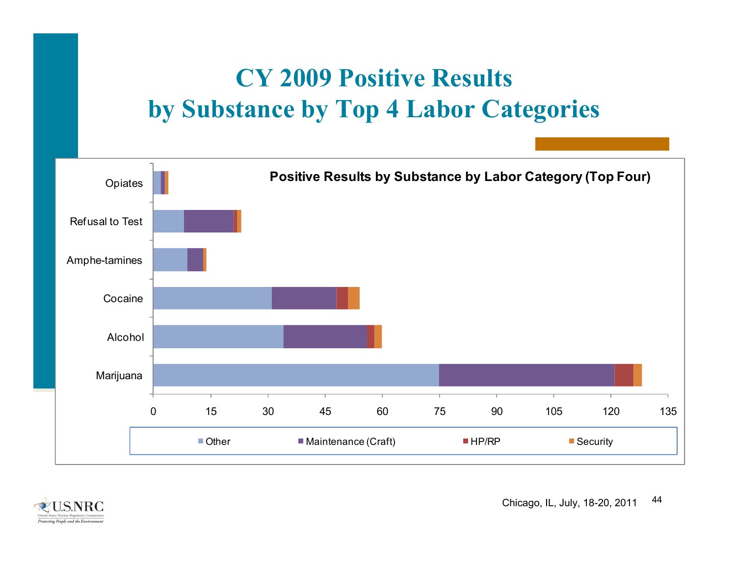# **CY 2009 Positive Results by Substance by Top 4 Labor Categories**



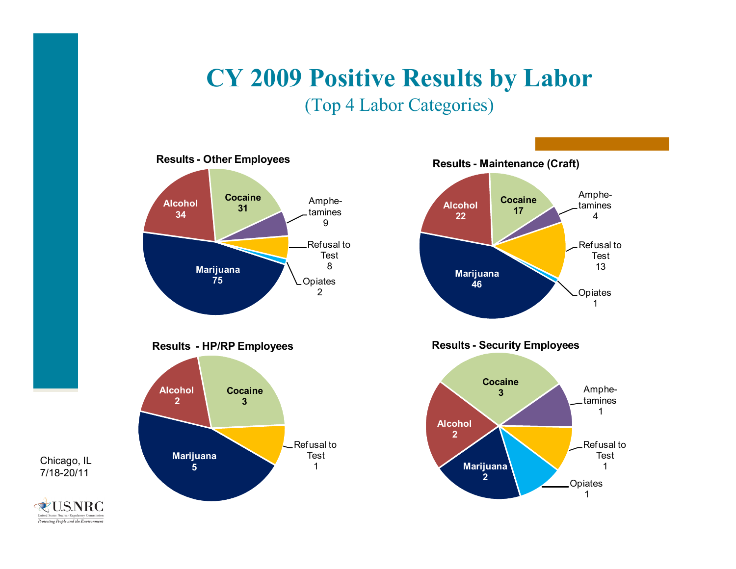# **CY 2009 Positive Results by Labor**

(Top 4 Labor Categories)



Chicago, IL 7/18-20/11

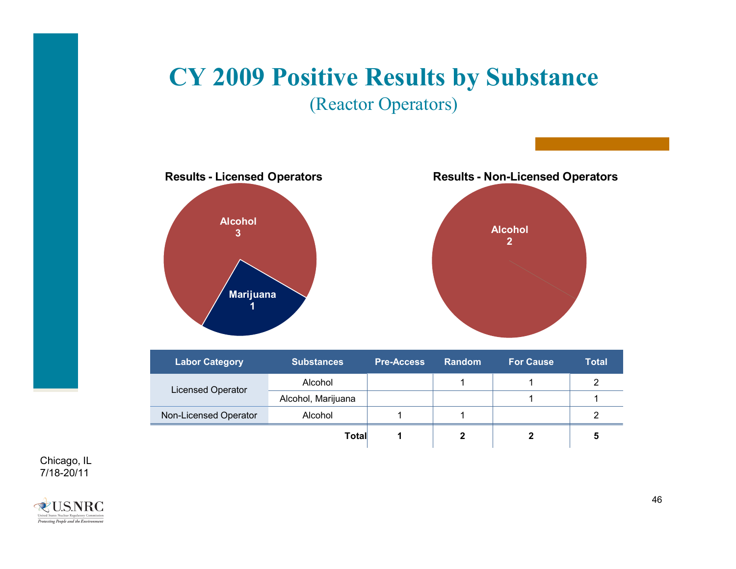# **CY 2009 Positive Results by Substance**

(Reactor Operators)



| <b>Labor Category</b>    | <b>Substances</b>  | <b>Pre-Access</b> | <b>Random</b> | <b>For Cause</b> | <b>Total</b> |  |
|--------------------------|--------------------|-------------------|---------------|------------------|--------------|--|
| <b>Licensed Operator</b> | Alcohol            |                   |               |                  |              |  |
|                          | Alcohol, Marijuana |                   |               |                  |              |  |
| Non-Licensed Operator    | Alcohol            |                   |               |                  | റ            |  |
|                          | Total              |                   |               |                  |              |  |

Chicago, IL 7/18-20/11

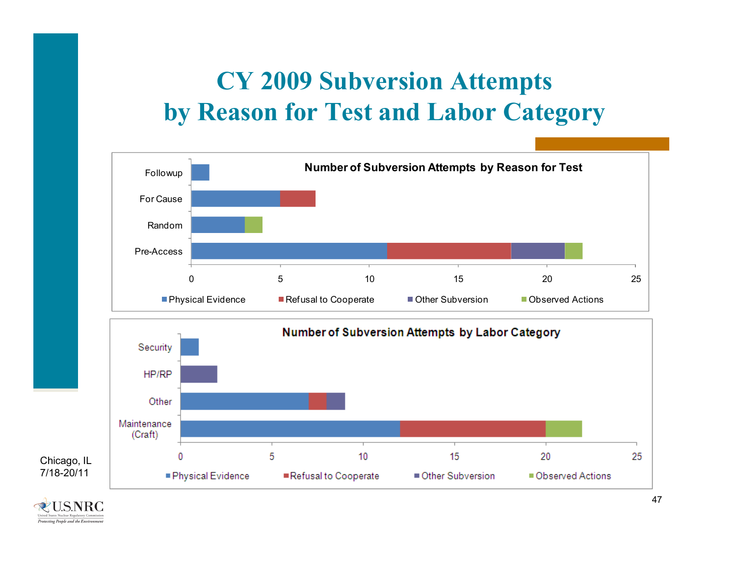# **CY 2009 Subversion Attempts by Reason for Test and Labor Category**



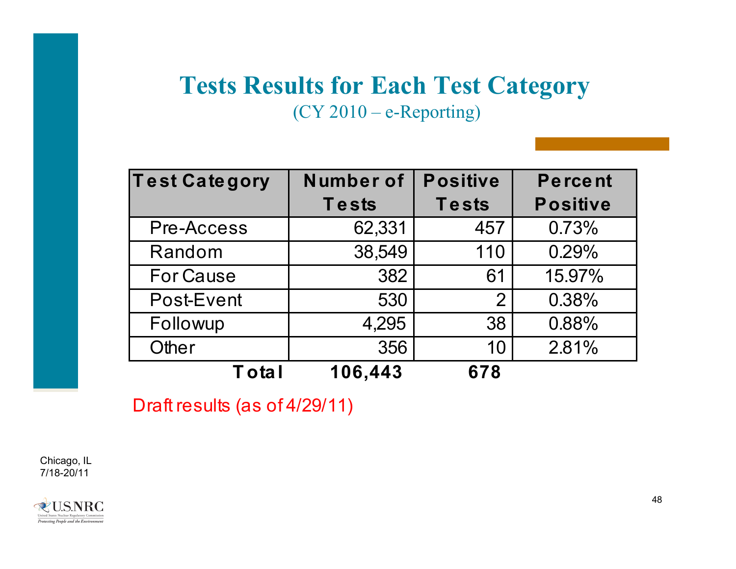# **Tests Results for Each Test Category**

(CY 2010 – e-Reporting)

| <b>Test Category</b> | Number of | <b>Positive</b> | Percent         |
|----------------------|-----------|-----------------|-----------------|
|                      | Tests     | <b>Tests</b>    | <b>Positive</b> |
| Pre-Access           | 62,331    | 457             | 0.73%           |
| Random               | 38,549    | 110             | 0.29%           |
| <b>For Cause</b>     | 382       | 61              | 15.97%          |
| Post-Event           | 530       | $\overline{2}$  | 0.38%           |
| Followup             | 4,295     | 38              | 0.88%           |
| Other                | 356       | 10              | 2.81%           |
| <b>Total</b>         | 106,443   | 678             |                 |

Draft results (as of 4/29/11)

Chicago, IL 7/18-20/11

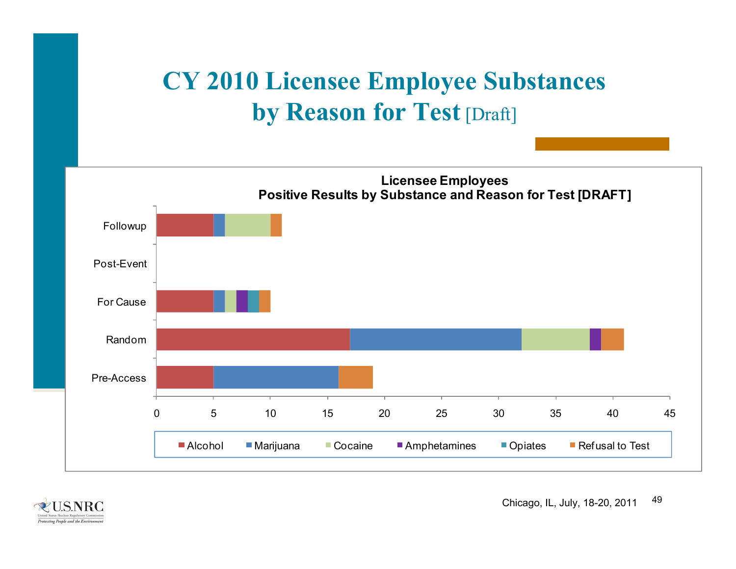# **CY 2010 Licensee Employee Substances by Reason for Test** [Draft]



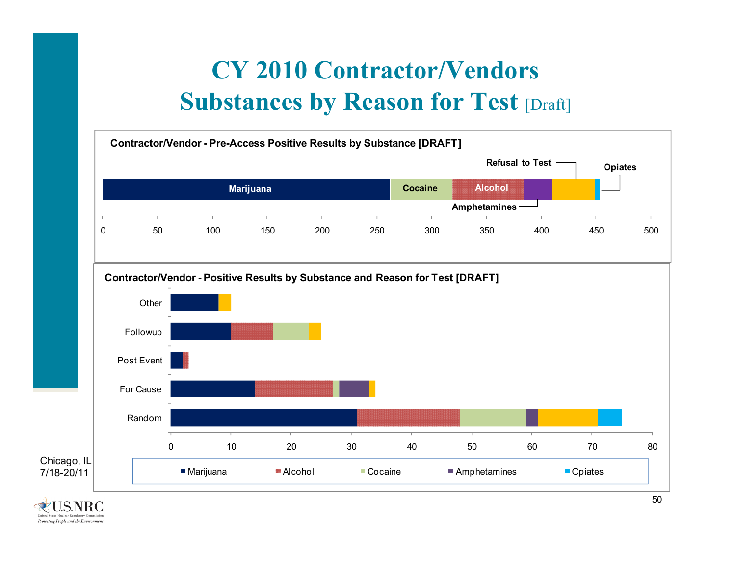# **CY 2010 Contractor/Vendors Substances by Reason for Test [Draft]**



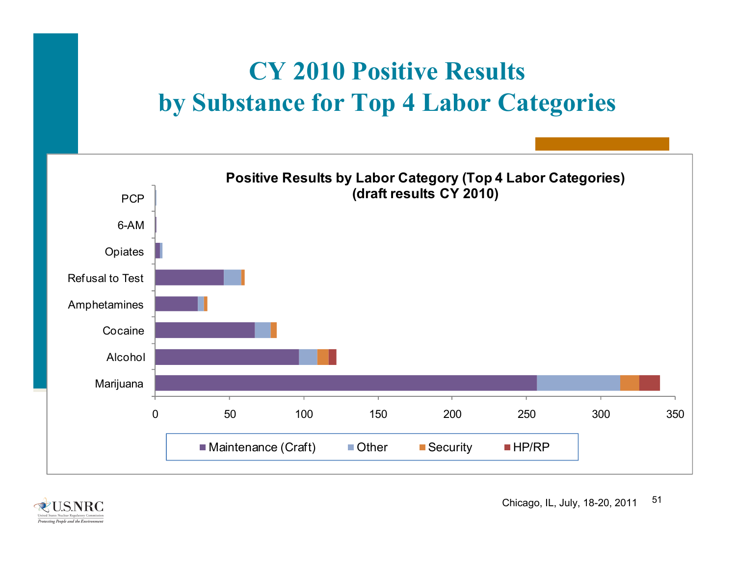# **CY 2010 Positive Results by Substance for Top 4 Labor Categories**



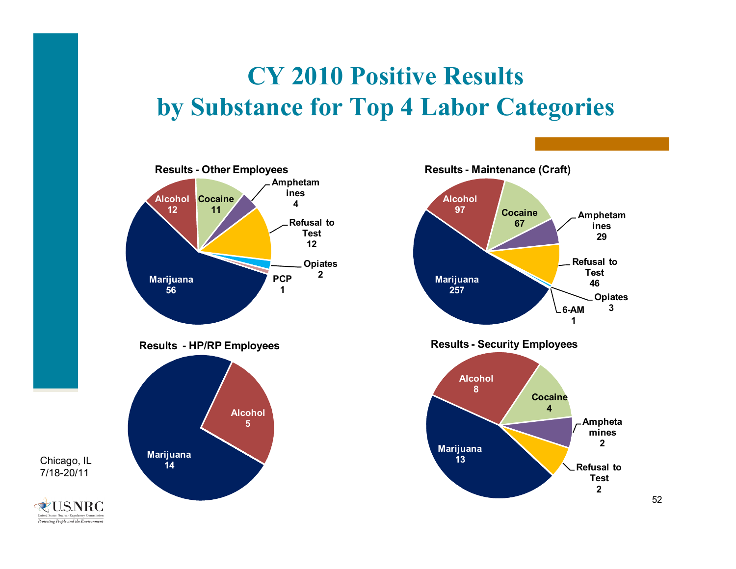# **CY 2010 Positive Results by Substance for Top 4 Labor Categories**



**RUSNRC** Protecting People and the Environment

Chicago, IL 7/18-20/11